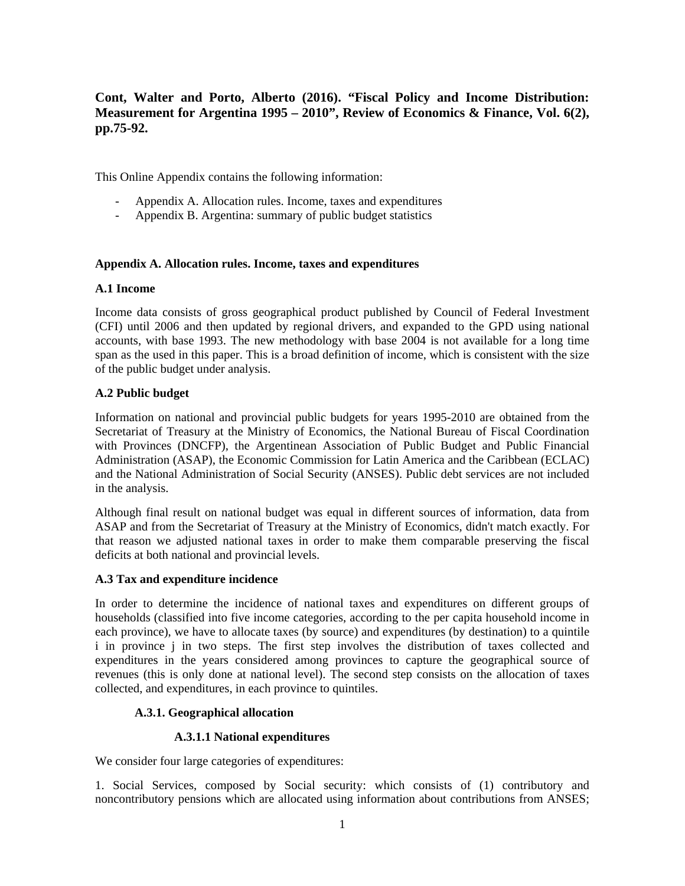**Cont, Walter and Porto, Alberto (2016). "Fiscal Policy and Income Distribution: Measurement for Argentina 1995 – 2010", Review of Economics & Finance, Vol. 6(2), pp.75-92.** 

This Online Appendix contains the following information:

- Appendix A. Allocation rules. Income, taxes and expenditures
- Appendix B. Argentina: summary of public budget statistics

# **Appendix A. Allocation rules. Income, taxes and expenditures**

#### **A.1 Income**

Income data consists of gross geographical product published by Council of Federal Investment (CFI) until 2006 and then updated by regional drivers, and expanded to the GPD using national accounts, with base 1993. The new methodology with base 2004 is not available for a long time span as the used in this paper. This is a broad definition of income, which is consistent with the size of the public budget under analysis.

# **A.2 Public budget**

Information on national and provincial public budgets for years 1995-2010 are obtained from the Secretariat of Treasury at the Ministry of Economics, the National Bureau of Fiscal Coordination with Provinces (DNCFP), the Argentinean Association of Public Budget and Public Financial Administration (ASAP), the Economic Commission for Latin America and the Caribbean (ECLAC) and the National Administration of Social Security (ANSES). Public debt services are not included in the analysis.

Although final result on national budget was equal in different sources of information, data from ASAP and from the Secretariat of Treasury at the Ministry of Economics, didn't match exactly. For that reason we adjusted national taxes in order to make them comparable preserving the fiscal deficits at both national and provincial levels.

# **A.3 Tax and expenditure incidence**

In order to determine the incidence of national taxes and expenditures on different groups of households (classified into five income categories, according to the per capita household income in each province), we have to allocate taxes (by source) and expenditures (by destination) to a quintile i in province j in two steps. The first step involves the distribution of taxes collected and expenditures in the years considered among provinces to capture the geographical source of revenues (this is only done at national level). The second step consists on the allocation of taxes collected, and expenditures, in each province to quintiles.

# **A.3.1. Geographical allocation**

#### **A.3.1.1 National expenditures**

We consider four large categories of expenditures:

1. Social Services, composed by Social security: which consists of (1) contributory and noncontributory pensions which are allocated using information about contributions from ANSES;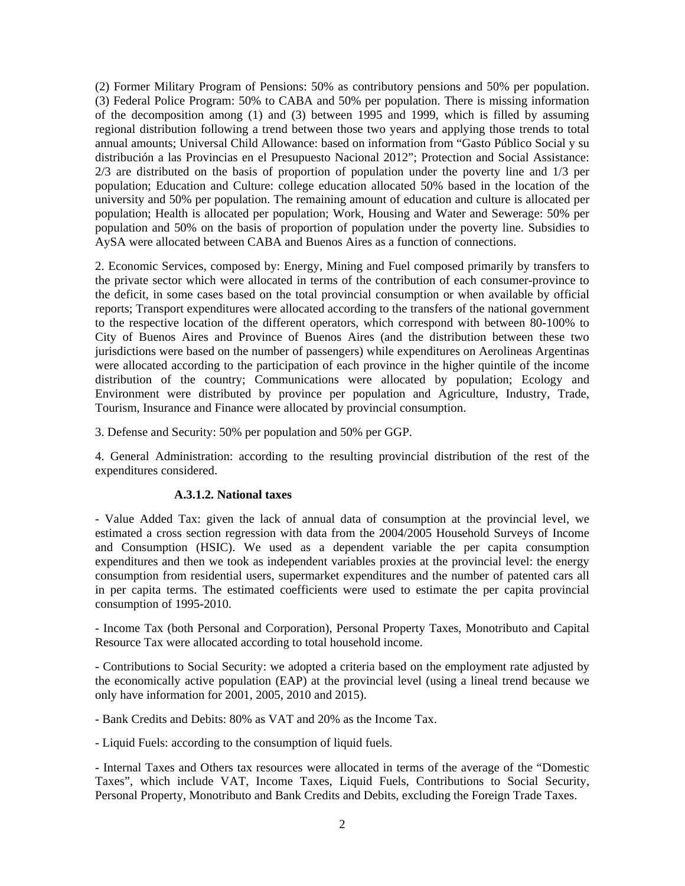(2) Former Military Program of Pensions: 50% as contributory pensions and 50% per population. (3) Federal Police Program: 50% to CABA and 50% per population. There is missing information of the decomposition among (1) and (3) between 1995 and 1999, which is filled by assuming regional distribution following a trend between those two years and applying those trends to total annual amounts; Universal Child Allowance: based on information from "Gasto Público Social y su distribución a las Provincias en el Presupuesto Nacional 2012"; Protection and Social Assistance: 2/3 are distributed on the basis of proportion of population under the poverty line and 1/3 per population; Education and Culture: college education allocated 50% based in the location of the university and 50% per population. The remaining amount of education and culture is allocated per population; Health is allocated per population; Work, Housing and Water and Sewerage: 50% per population and 50% on the basis of proportion of population under the poverty line. Subsidies to AySA were allocated between CABA and Buenos Aires as a function of connections.

2. Economic Services, composed by: Energy, Mining and Fuel composed primarily by transfers to the private sector which were allocated in terms of the contribution of each consumer-province to the deficit, in some cases based on the total provincial consumption or when available by official reports; Transport expenditures were allocated according to the transfers of the national government to the respective location of the different operators, which correspond with between 80-100% to City of Buenos Aires and Province of Buenos Aires (and the distribution between these two jurisdictions were based on the number of passengers) while expenditures on Aerolineas Argentinas were allocated according to the participation of each province in the higher quintile of the income distribution of the country; Communications were allocated by population; Ecology and Environment were distributed by province per population and Agriculture, Industry, Trade, Tourism, Insurance and Finance were allocated by provincial consumption.

3. Defense and Security: 50% per population and 50% per GGP.

4. General Administration: according to the resulting provincial distribution of the rest of the expenditures considered.

# **A.3.1.2. National taxes**

- Value Added Tax: given the lack of annual data of consumption at the provincial level, we estimated a cross section regression with data from the 2004/2005 Household Surveys of Income and Consumption (HSIC). We used as a dependent variable the per capita consumption expenditures and then we took as independent variables proxies at the provincial level: the energy consumption from residential users, supermarket expenditures and the number of patented cars all in per capita terms. The estimated coefficients were used to estimate the per capita provincial consumption of 1995-2010.

- Income Tax (both Personal and Corporation), Personal Property Taxes, Monotributo and Capital Resource Tax were allocated according to total household income.

- Contributions to Social Security: we adopted a criteria based on the employment rate adjusted by the economically active population (EAP) at the provincial level (using a lineal trend because we only have information for 2001, 2005, 2010 and 2015).

- Bank Credits and Debits: 80% as VAT and 20% as the Income Tax.

- Liquid Fuels: according to the consumption of liquid fuels.

- Internal Taxes and Others tax resources were allocated in terms of the average of the "Domestic Taxes", which include VAT, Income Taxes, Liquid Fuels, Contributions to Social Security, Personal Property, Monotributo and Bank Credits and Debits, excluding the Foreign Trade Taxes.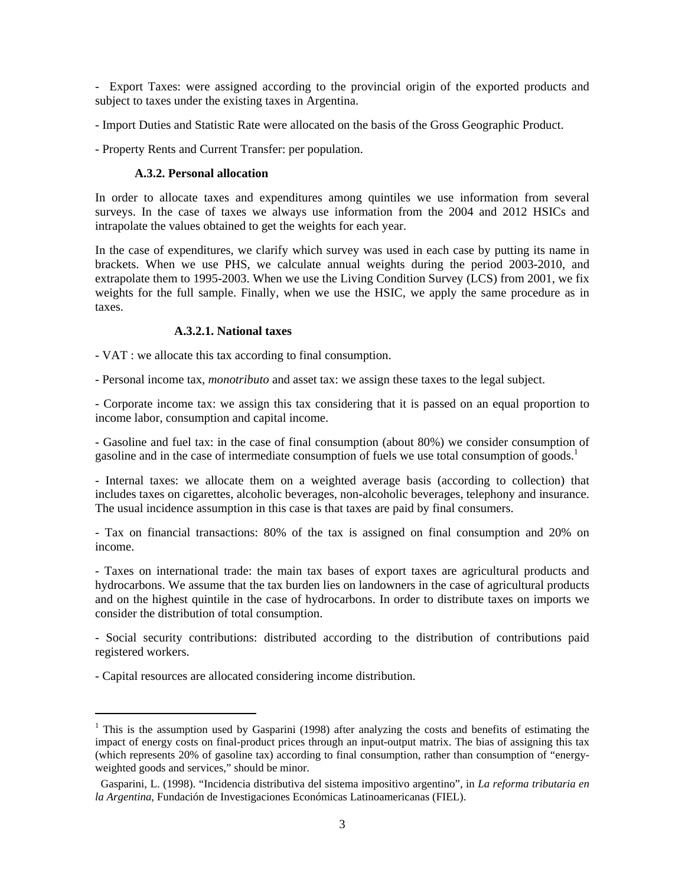- Export Taxes: were assigned according to the provincial origin of the exported products and subject to taxes under the existing taxes in Argentina.

- Import Duties and Statistic Rate were allocated on the basis of the Gross Geographic Product.
- Property Rents and Current Transfer: per population.

#### **A.3.2. Personal allocation**

In order to allocate taxes and expenditures among quintiles we use information from several surveys. In the case of taxes we always use information from the 2004 and 2012 HSICs and intrapolate the values obtained to get the weights for each year.

In the case of expenditures, we clarify which survey was used in each case by putting its name in brackets. When we use PHS, we calculate annual weights during the period 2003-2010, and extrapolate them to 1995-2003. When we use the Living Condition Survey (LCS) from 2001, we fix weights for the full sample. Finally, when we use the HSIC, we apply the same procedure as in taxes.

#### **A.3.2.1. National taxes**

- VAT : we allocate this tax according to final consumption.

- Personal income tax, *monotributo* and asset tax: we assign these taxes to the legal subject.

- Corporate income tax: we assign this tax considering that it is passed on an equal proportion to income labor, consumption and capital income.

- Gasoline and fuel tax: in the case of final consumption (about 80%) we consider consumption of gasoline and in the case of intermediate consumption of fuels we use total consumption of goods.<sup>1</sup>

- Internal taxes: we allocate them on a weighted average basis (according to collection) that includes taxes on cigarettes, alcoholic beverages, non-alcoholic beverages, telephony and insurance. The usual incidence assumption in this case is that taxes are paid by final consumers.

- Tax on financial transactions: 80% of the tax is assigned on final consumption and 20% on income.

- Taxes on international trade: the main tax bases of export taxes are agricultural products and hydrocarbons. We assume that the tax burden lies on landowners in the case of agricultural products and on the highest quintile in the case of hydrocarbons. In order to distribute taxes on imports we consider the distribution of total consumption.

- Social security contributions: distributed according to the distribution of contributions paid registered workers.

- Capital resources are allocated considering income distribution.

<sup>&</sup>lt;sup>1</sup> This is the assumption used by Gasparini (1998) after analyzing the costs and benefits of estimating the impact of energy costs on final-product prices through an input-output matrix. The bias of assigning this tax (which represents 20% of gasoline tax) according to final consumption, rather than consumption of "energyweighted goods and services," should be minor.

Gasparini, L. (1998). "Incidencia distributiva del sistema impositivo argentino", in *La reforma tributaria en la Argentina*, Fundación de Investigaciones Económicas Latinoamericanas (FIEL).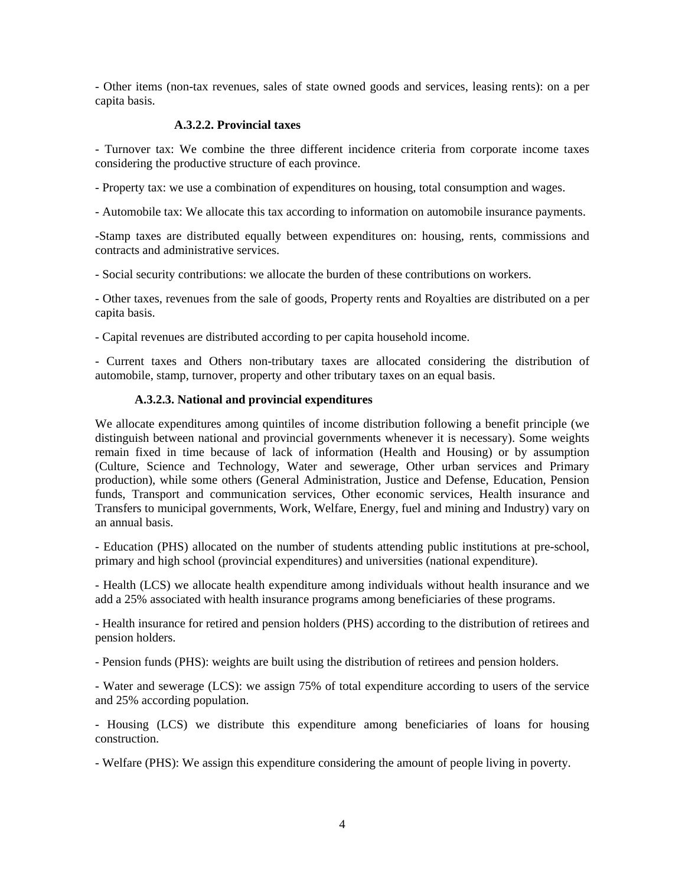- Other items (non-tax revenues, sales of state owned goods and services, leasing rents): on a per capita basis.

#### **A.3.2.2. Provincial taxes**

- Turnover tax: We combine the three different incidence criteria from corporate income taxes considering the productive structure of each province.

- Property tax: we use a combination of expenditures on housing, total consumption and wages.

- Automobile tax: We allocate this tax according to information on automobile insurance payments.

-Stamp taxes are distributed equally between expenditures on: housing, rents, commissions and contracts and administrative services.

- Social security contributions: we allocate the burden of these contributions on workers.

- Other taxes, revenues from the sale of goods, Property rents and Royalties are distributed on a per capita basis.

- Capital revenues are distributed according to per capita household income.

- Current taxes and Others non-tributary taxes are allocated considering the distribution of automobile, stamp, turnover, property and other tributary taxes on an equal basis.

# **A.3.2.3. National and provincial expenditures**

We allocate expenditures among quintiles of income distribution following a benefit principle (we distinguish between national and provincial governments whenever it is necessary). Some weights remain fixed in time because of lack of information (Health and Housing) or by assumption (Culture, Science and Technology, Water and sewerage, Other urban services and Primary production), while some others (General Administration, Justice and Defense, Education, Pension funds, Transport and communication services, Other economic services, Health insurance and Transfers to municipal governments, Work, Welfare, Energy, fuel and mining and Industry) vary on an annual basis.

- Education (PHS) allocated on the number of students attending public institutions at pre-school, primary and high school (provincial expenditures) and universities (national expenditure).

- Health (LCS) we allocate health expenditure among individuals without health insurance and we add a 25% associated with health insurance programs among beneficiaries of these programs.

- Health insurance for retired and pension holders (PHS) according to the distribution of retirees and pension holders.

- Pension funds (PHS): weights are built using the distribution of retirees and pension holders.

- Water and sewerage (LCS): we assign 75% of total expenditure according to users of the service and 25% according population.

- Housing (LCS) we distribute this expenditure among beneficiaries of loans for housing construction.

- Welfare (PHS): We assign this expenditure considering the amount of people living in poverty.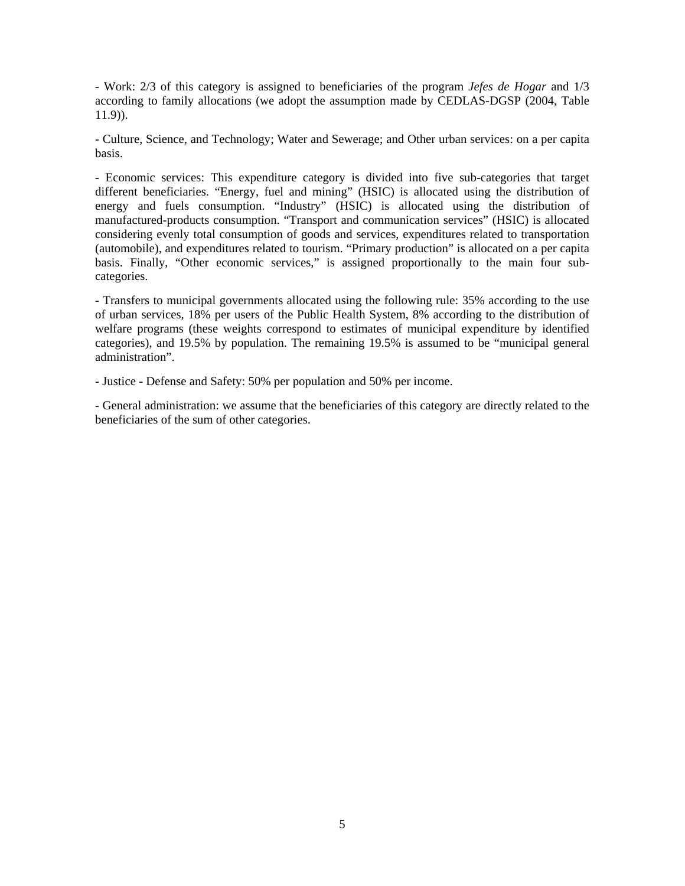- Work: 2/3 of this category is assigned to beneficiaries of the program *Jefes de Hogar* and 1/3 according to family allocations (we adopt the assumption made by CEDLAS-DGSP (2004, Table 11.9)).

- Culture, Science, and Technology; Water and Sewerage; and Other urban services: on a per capita basis.

- Economic services: This expenditure category is divided into five sub-categories that target different beneficiaries. "Energy, fuel and mining" (HSIC) is allocated using the distribution of energy and fuels consumption. "Industry" (HSIC) is allocated using the distribution of manufactured-products consumption. "Transport and communication services" (HSIC) is allocated considering evenly total consumption of goods and services, expenditures related to transportation (automobile), and expenditures related to tourism. "Primary production" is allocated on a per capita basis. Finally, "Other economic services," is assigned proportionally to the main four subcategories.

- Transfers to municipal governments allocated using the following rule: 35% according to the use of urban services, 18% per users of the Public Health System, 8% according to the distribution of welfare programs (these weights correspond to estimates of municipal expenditure by identified categories), and 19.5% by population. The remaining 19.5% is assumed to be "municipal general administration".

- Justice - Defense and Safety: 50% per population and 50% per income.

- General administration: we assume that the beneficiaries of this category are directly related to the beneficiaries of the sum of other categories.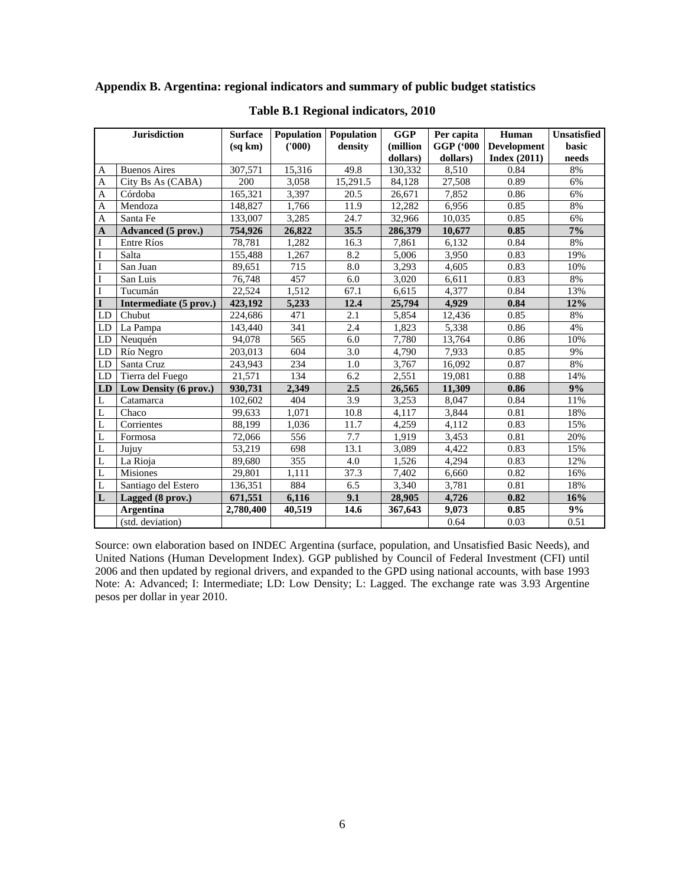**Appendix B. Argentina: regional indicators and summary of public budget statistics** 

|                | <b>Jurisdiction</b>       | <b>Surface</b> | <b>Population</b> Population |          | <b>GGP</b>         | Per capita | Human              | <b>Unsatisfied</b> |  |
|----------------|---------------------------|----------------|------------------------------|----------|--------------------|------------|--------------------|--------------------|--|
|                |                           | (sq km)        | (1000)                       | density  | (million           | GGP ('000  | <b>Development</b> | basic              |  |
|                |                           |                |                              |          | dollars)           | dollars)   | Index $(2011)$     | needs              |  |
| A              | <b>Buenos Aires</b>       | 307,571        | 15,316                       | 49.8     | 130,332            | 8.510      | 0.84               | 8%                 |  |
| A              | City Bs As (CABA)         | 200            | 3,058                        | 15,291.5 | 84,128             | 27,508     | 0.89               | 6%                 |  |
| $\mathbf{A}$   | Córdoba                   | 165,321        | 3,397                        | 20.5     | 26,671             | 7,852      | 0.86               | 6%                 |  |
| $\mathbf{A}$   | Mendoza                   | 148,827        | 1,766                        | 11.9     | 12,282             | 6,956      | 0.85               | 8%                 |  |
| A              | Santa Fe                  | 133,007        | 3,285                        | 24.7     | 32,966             | 10,035     | 0.85               | 6%                 |  |
| $\mathbf{A}$   | <b>Advanced</b> (5 prov.) | 754,926        | 26,822                       | 35.5     | 286,379            | 10,677     | 0.85               | 7%                 |  |
| I              | Entre Ríos                | 78,781         | 1,282                        | 16.3     | 7,861              | 6,132      | 0.84               | 8%                 |  |
| $\bf I$        | Salta                     | 155,488        | 1,267                        | 8.2      | 5,006              | 3,950      | 0.83               | 19%                |  |
| $\bf I$        | San Juan                  | 89,651         | 715                          | 8.0      | $\overline{3,293}$ | 4,605      | 0.83               | 10%                |  |
| $\bf I$        | San Luis                  | 76,748         | 457                          | 6.0      | 3,020              | 6,611      | 0.83               | $8\%$              |  |
| I              | Tucumán                   | 22,524         | 1,512                        | 67.1     | 6,615              | 4,377      | 0.84               | 13%                |  |
| I              | Intermediate (5 prov.)    | 423,192        | 5,233                        | 12.4     | 25,794             | 4,929      | 0.84               | 12%                |  |
| LD             | Chubut                    | 224,686        | 471                          | 2.1      | 5,854              | 12,436     | 0.85               | 8%                 |  |
| LD             | La Pampa                  | 143,440        | 341                          | 2.4      | $\overline{1,823}$ | 5,338      | 0.86               | 4%                 |  |
| LD             | Neuquén                   | 94,078         | 565                          | 6.0      | 7,780              | 13,764     | 0.86               | 10%                |  |
| LD             | Río Negro                 | 203,013        | 604                          | 3.0      | 4,790              | 7,933      | 0.85               | 9%                 |  |
| LD             | Santa Cruz                | 243,943        | 234                          | 1.0      | 3,767              | 16,092     | 0.87               | 8%                 |  |
| LD             | Tierra del Fuego          | 21,571         | 134                          | 6.2      | 2,551              | 19,081     | 0.88               | 14%                |  |
| LD             | Low Density (6 prov.)     | 930,731        | 2.349                        | 2.5      | 26,565             | 11.309     | 0.86               | 9%                 |  |
| L              | Catamarca                 | 102,602        | 404                          | 3.9      | 3,253              | 8,047      | 0.84               | 11%                |  |
| L              | Chaco                     | 99,633         | 1,071                        | $10.8\,$ | 4,117              | 3,844      | 0.81               | 18%                |  |
| L              | Corrientes                | 88,199         | 1,036                        | 11.7     | 4,259              | 4,112      | 0.83               | 15%                |  |
| L              | Formosa                   | 72,066         | 556                          | 7.7      | 1,919              | 3,453      | 0.81               | 20%                |  |
| L              | Jujuy                     | 53,219         | 698                          | 13.1     | 3,089              | 4,422      | 0.83               | 15%                |  |
| $\overline{L}$ | La Rioja                  | 89.680         | 355                          | 4.0      | 1,526              | 4,294      | 0.83               | 12%                |  |
| $\overline{L}$ | <b>Misiones</b>           | 29,801         | 1,111                        | 37.3     | 7,402              | 6,660      | 0.82               | 16%                |  |
| $\mathbf L$    | Santiago del Estero       | 136,351        | 884                          | 6.5      | 3,340              | 3,781      | 0.81               | 18%                |  |
| L              | Lagged (8 prov.)          | 671,551        | 6,116                        | 9.1      | 28,905             | 4,726      | 0.82               | 16%                |  |
|                | <b>Argentina</b>          | 2.780.400      | 40,519                       | 14.6     | 367,643            | 9,073      | 0.85               | 9%                 |  |
|                | (std. deviation)          |                |                              |          |                    | 0.64       | 0.03               | 0.51               |  |

**Table B.1 Regional indicators, 2010**

Source: own elaboration based on INDEC Argentina (surface, population, and Unsatisfied Basic Needs), and United Nations (Human Development Index). GGP published by Council of Federal Investment (CFI) until 2006 and then updated by regional drivers, and expanded to the GPD using national accounts, with base 1993 Note: A: Advanced; I: Intermediate; LD: Low Density; L: Lagged. The exchange rate was 3.93 Argentine pesos per dollar in year 2010.